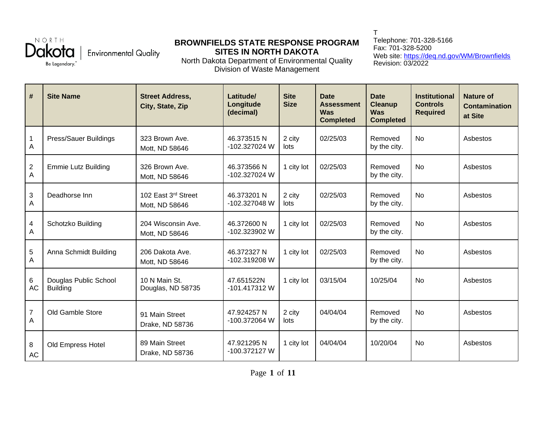NORTH Be Legendary."

## **Environmental Quality**

## **BROWNFIELDS STATE RESPONSE PROGRAM SITES IN NORTH DAKOTA**

North Dakota Department of Environmental Quality Division of Waste Management

T Telephone: 701-328-5166 Fax: 701-328-5200 Web site: <https://deq.nd.gov/WM/Brownfields> Revision: 03/2022

| $\vert \#$                   | <b>Site Name</b>                         | <b>Street Address,</b><br>City, State, Zip | Latitude/<br>Longitude<br>(decimal) | <b>Site</b><br><b>Size</b> | <b>Date</b><br><b>Assessment</b><br><b>Was</b><br><b>Completed</b> | <b>Date</b><br><b>Cleanup</b><br><b>Was</b><br><b>Completed</b> | <b>Institutional</b><br><b>Controls</b><br><b>Required</b> | <b>Nature of</b><br>Contamination<br>at Site |
|------------------------------|------------------------------------------|--------------------------------------------|-------------------------------------|----------------------------|--------------------------------------------------------------------|-----------------------------------------------------------------|------------------------------------------------------------|----------------------------------------------|
| $\mathbf{1}$<br>A            | Press/Sauer Buildings                    | 323 Brown Ave.<br>Mott, ND 58646           | 46.373515N<br>-102.327024 W         | 2 city<br>lots             | 02/25/03                                                           | Removed<br>by the city.                                         | <b>No</b>                                                  | Asbestos                                     |
| $\overline{\mathbf{c}}$<br>A | <b>Emmie Lutz Building</b>               | 326 Brown Ave.<br>Mott, ND 58646           | 46.373566 N<br>-102.327024 W        | 1 city lot                 | 02/25/03                                                           | Removed<br>by the city.                                         | <b>No</b>                                                  | Asbestos                                     |
| $\mathfrak{S}$<br>A          | Deadhorse Inn                            | 102 East 3rd Street<br>Mott, ND 58646      | 46.373201 N<br>-102.327048 W        | 2 city<br>lots             | 02/25/03                                                           | Removed<br>by the city.                                         | <b>No</b>                                                  | Asbestos                                     |
| $\overline{\mathbf{4}}$<br>A | Schotzko Building                        | 204 Wisconsin Ave.<br>Mott, ND 58646       | 46.372600 N<br>-102.323902 W        | 1 city lot                 | 02/25/03                                                           | Removed<br>by the city.                                         | <b>No</b>                                                  | Asbestos                                     |
| 5<br>A                       | Anna Schmidt Building                    | 206 Dakota Ave.<br>Mott, ND 58646          | 46.372327 N<br>-102.319208 W        | 1 city lot                 | 02/25/03                                                           | Removed<br>by the city.                                         | <b>No</b>                                                  | Asbestos                                     |
| 6<br><b>AC</b>               | Douglas Public School<br><b>Building</b> | 10 N Main St.<br>Douglas, ND 58735         | 47.651522N<br>-101.417312 W         | 1 city lot                 | 03/15/04                                                           | 10/25/04                                                        | <b>No</b>                                                  | Asbestos                                     |
| $\overline{7}$<br>A          | Old Gamble Store                         | 91 Main Street<br>Drake, ND 58736          | 47.924257 N<br>-100.372064 W        | 2 city<br>lots             | 04/04/04                                                           | Removed<br>by the city.                                         | <b>No</b>                                                  | Asbestos                                     |
| 8<br>$\mathsf{AC}$           | Old Empress Hotel                        | 89 Main Street<br>Drake, ND 58736          | 47.921295N<br>-100.372127 W         | 1 city lot                 | 04/04/04                                                           | 10/20/04                                                        | <b>No</b>                                                  | Asbestos                                     |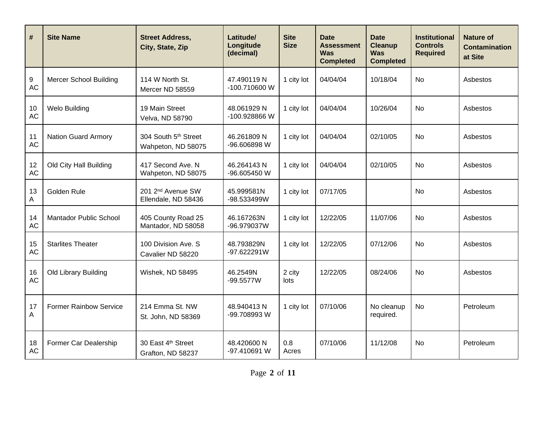| $\#$            | <b>Site Name</b>              | <b>Street Address,</b><br>City, State, Zip           | Latitude/<br>Longitude<br>(decimal) | <b>Site</b><br><b>Size</b> | <b>Date</b><br><b>Assessment</b><br><b>Was</b><br><b>Completed</b> | <b>Date</b><br><b>Cleanup</b><br><b>Was</b><br><b>Completed</b> | <b>Institutional</b><br><b>Controls</b><br><b>Required</b> | <b>Nature of</b><br><b>Contamination</b><br>at Site |
|-----------------|-------------------------------|------------------------------------------------------|-------------------------------------|----------------------------|--------------------------------------------------------------------|-----------------------------------------------------------------|------------------------------------------------------------|-----------------------------------------------------|
| 9<br><b>AC</b>  | <b>Mercer School Building</b> | 114 W North St.<br>Mercer ND 58559                   | 47.490119 N<br>-100.710600 W        | 1 city lot                 | 04/04/04                                                           | 10/18/04                                                        | <b>No</b>                                                  | Asbestos                                            |
| 10<br><b>AC</b> | <b>Welo Building</b>          | 19 Main Street<br>Velva, ND 58790                    | 48.061929 N<br>-100.928866 W        | 1 city lot                 | 04/04/04                                                           | 10/26/04                                                        | <b>No</b>                                                  | Asbestos                                            |
| 11<br><b>AC</b> | <b>Nation Guard Armory</b>    | 304 South 5th Street<br>Wahpeton, ND 58075           | 46.261809 N<br>-96.606898 W         | 1 city lot                 | 04/04/04                                                           | 02/10/05                                                        | <b>No</b>                                                  | Asbestos                                            |
| 12<br>AC        | Old City Hall Building        | 417 Second Ave. N<br>Wahpeton, ND 58075              | 46.264143 N<br>-96.605450 W         | 1 city lot                 | 04/04/04                                                           | 02/10/05                                                        | <b>No</b>                                                  | Asbestos                                            |
| 13<br>А         | Golden Rule                   | 201 2 <sup>nd</sup> Avenue SW<br>Ellendale, ND 58436 | 45.999581N<br>-98.533499W           | 1 city lot                 | 07/17/05                                                           |                                                                 | <b>No</b>                                                  | Asbestos                                            |
| 14<br><b>AC</b> | Mantador Public School        | 405 County Road 25<br>Mantador, ND 58058             | 46.167263N<br>-96.979037W           | 1 city lot                 | 12/22/05                                                           | 11/07/06                                                        | <b>No</b>                                                  | Asbestos                                            |
| 15<br><b>AC</b> | <b>Starlites Theater</b>      | 100 Division Ave. S<br>Cavalier ND 58220             | 48.793829N<br>-97.622291W           | 1 city lot                 | 12/22/05                                                           | 07/12/06                                                        | <b>No</b>                                                  | Asbestos                                            |
| 16<br>AC        | Old Library Building          | Wishek, ND 58495                                     | 46.2549N<br>$-99.5577W$             | 2 city<br>lots             | 12/22/05                                                           | 08/24/06                                                        | <b>No</b>                                                  | Asbestos                                            |
| 17<br>Α         | <b>Former Rainbow Service</b> | 214 Emma St. NW<br>St. John, ND 58369                | 48.940413N<br>-99.708993 W          | 1 city lot                 | 07/10/06                                                           | No cleanup<br>required.                                         | <b>No</b>                                                  | Petroleum                                           |
| 18<br>AC        | Former Car Dealership         | 30 East 4th Street<br>Grafton, ND 58237              | 48.420600 N<br>-97.410691 W         | 0.8<br>Acres               | 07/10/06                                                           | 11/12/08                                                        | <b>No</b>                                                  | Petroleum                                           |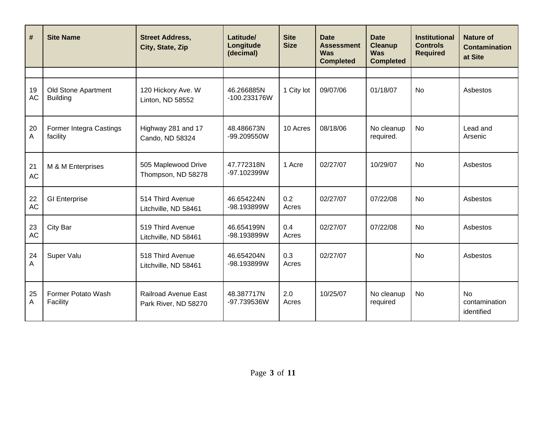| $\#$            | <b>Site Name</b>                       | <b>Street Address,</b><br>City, State, Zip          | Latitude/<br>Longitude<br>(decimal) | <b>Site</b><br><b>Size</b> | <b>Date</b><br><b>Assessment</b><br><b>Was</b><br><b>Completed</b> | <b>Date</b><br><b>Cleanup</b><br><b>Was</b><br><b>Completed</b> | <b>Institutional</b><br><b>Controls</b><br><b>Required</b> | <b>Nature of</b><br><b>Contamination</b><br>at Site |
|-----------------|----------------------------------------|-----------------------------------------------------|-------------------------------------|----------------------------|--------------------------------------------------------------------|-----------------------------------------------------------------|------------------------------------------------------------|-----------------------------------------------------|
|                 |                                        |                                                     |                                     |                            |                                                                    |                                                                 |                                                            |                                                     |
| 19<br><b>AC</b> | Old Stone Apartment<br><b>Building</b> | 120 Hickory Ave. W<br>Linton, ND 58552              | 46.266885N<br>-100.233176W          | 1 City lot                 | 09/07/06                                                           | 01/18/07                                                        | <b>No</b>                                                  | Asbestos                                            |
| 20<br>A         | Former Integra Castings<br>facility    | Highway 281 and 17<br>Cando, ND 58324               | 48.486673N<br>-99.209550W           | 10 Acres                   | 08/18/06                                                           | No cleanup<br>required.                                         | <b>No</b>                                                  | Lead and<br>Arsenic                                 |
| 21<br><b>AC</b> | M & M Enterprises                      | 505 Maplewood Drive<br>Thompson, ND 58278           | 47.772318N<br>-97.102399W           | 1 Acre                     | 02/27/07                                                           | 10/29/07                                                        | <b>No</b>                                                  | Asbestos                                            |
| 22<br>AC        | <b>GI Enterprise</b>                   | 514 Third Avenue<br>Litchville, ND 58461            | 46.654224N<br>-98.193899W           | 0.2<br>Acres               | 02/27/07                                                           | 07/22/08                                                        | <b>No</b>                                                  | Asbestos                                            |
| 23<br><b>AC</b> | City Bar                               | 519 Third Avenue<br>Litchville, ND 58461            | 46.654199N<br>-98.193899W           | 0.4<br>Acres               | 02/27/07                                                           | 07/22/08                                                        | <b>No</b>                                                  | Asbestos                                            |
| 24<br>Α         | Super Valu                             | 518 Third Avenue<br>Litchville, ND 58461            | 46.654204N<br>-98.193899W           | 0.3<br>Acres               | 02/27/07                                                           |                                                                 | <b>No</b>                                                  | Asbestos                                            |
| 25<br>A         | Former Potato Wash<br>Facility         | <b>Railroad Avenue East</b><br>Park River, ND 58270 | 48.387717N<br>-97.739536W           | 2.0<br>Acres               | 10/25/07                                                           | No cleanup<br>required                                          | <b>No</b>                                                  | <b>No</b><br>contamination<br>identified            |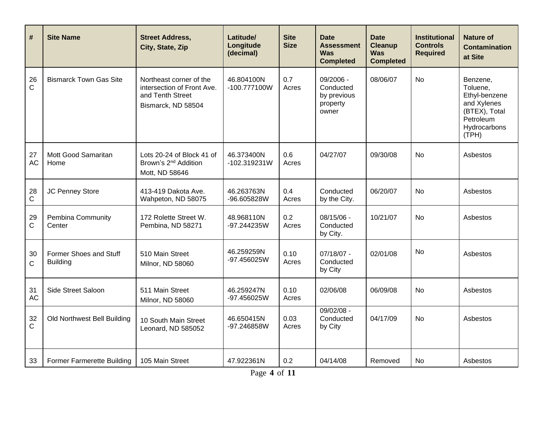| $\#$            | <b>Site Name</b>                          | <b>Street Address,</b><br>City, State, Zip                                                      | Latitude/<br>Longitude<br>(decimal) | <b>Site</b><br><b>Size</b> | <b>Date</b><br><b>Assessment</b><br><b>Was</b><br><b>Completed</b> | <b>Date</b><br><b>Cleanup</b><br>Was<br><b>Completed</b> | <b>Institutional</b><br><b>Controls</b><br><b>Required</b> | Nature of<br><b>Contamination</b><br>at Site                                                                |
|-----------------|-------------------------------------------|-------------------------------------------------------------------------------------------------|-------------------------------------|----------------------------|--------------------------------------------------------------------|----------------------------------------------------------|------------------------------------------------------------|-------------------------------------------------------------------------------------------------------------|
| 26<br>C         | <b>Bismarck Town Gas Site</b>             | Northeast corner of the<br>intersection of Front Ave.<br>and Tenth Street<br>Bismarck, ND 58504 | 46.804100N<br>-100.777100W          | 0.7<br>Acres               | 09/2006 -<br>Conducted<br>by previous<br>property<br>owner         | 08/06/07                                                 | <b>No</b>                                                  | Benzene,<br>Toluene,<br>Ethyl-benzene<br>and Xylenes<br>(BTEX), Total<br>Petroleum<br>Hydrocarbons<br>(TPH) |
| 27<br><b>AC</b> | Mott Good Samaritan<br>Home               | Lots 20-24 of Block 41 of<br>Brown's 2 <sup>nd</sup> Addition<br>Mott, ND 58646                 | 46.373400N<br>$-102.319231W$        | 0.6<br>Acres               | 04/27/07                                                           | 09/30/08                                                 | No                                                         | Asbestos                                                                                                    |
| 28<br>C         | JC Penney Store                           | 413-419 Dakota Ave.<br>Wahpeton, ND 58075                                                       | 46.263763N<br>-96.605828W           | 0.4<br>Acres               | Conducted<br>by the City.                                          | 06/20/07                                                 | No                                                         | Asbestos                                                                                                    |
| 29<br>C         | Pembina Community<br>Center               | 172 Rolette Street W.<br>Pembina, ND 58271                                                      | 48.968110N<br>-97.244235W           | 0.2<br>Acres               | 08/15/06 -<br>Conducted<br>by City.                                | 10/21/07                                                 | <b>No</b>                                                  | Asbestos                                                                                                    |
| 30<br>C         | Former Shoes and Stuff<br><b>Building</b> | 510 Main Street<br>Milnor, ND 58060                                                             | 46.259259N<br>-97.456025W           | 0.10<br>Acres              | 07/18/07 -<br>Conducted<br>by City                                 | 02/01/08                                                 | <b>No</b>                                                  | Asbestos                                                                                                    |
| 31<br><b>AC</b> | Side Street Saloon                        | 511 Main Street<br>Milnor, ND 58060                                                             | 46.259247N<br>-97.456025W           | 0.10<br>Acres              | 02/06/08                                                           | 06/09/08                                                 | <b>No</b>                                                  | Asbestos                                                                                                    |
| 32<br>C         | Old Northwest Bell Building               | 10 South Main Street<br>Leonard, ND 585052                                                      | 46.650415N<br>-97.246858W           | 0.03<br>Acres              | $09/02/08 -$<br>Conducted<br>by City                               | 04/17/09                                                 | <b>No</b>                                                  | Asbestos                                                                                                    |
| 33              | <b>Former Farmerette Building</b>         | 105 Main Street                                                                                 | 47.922361N                          | 0.2                        | 04/14/08                                                           | Removed                                                  | No                                                         | Asbestos                                                                                                    |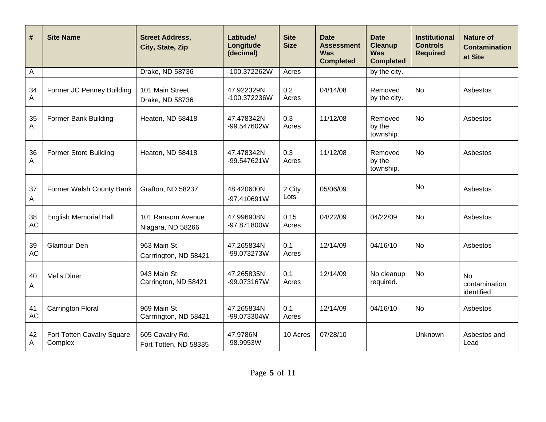| $\vert$ #                 | <b>Site Name</b>                      | <b>Street Address,</b><br>City, State, Zip | Latitude/<br>Longitude<br>(decimal) | <b>Site</b><br><b>Size</b> | <b>Date</b><br><b>Assessment</b><br><b>Was</b><br><b>Completed</b> | <b>Date</b><br><b>Cleanup</b><br><b>Was</b><br><b>Completed</b> | <b>Institutional</b><br><b>Controls</b><br><b>Required</b> | <b>Nature of</b><br><b>Contamination</b><br>at Site |
|---------------------------|---------------------------------------|--------------------------------------------|-------------------------------------|----------------------------|--------------------------------------------------------------------|-----------------------------------------------------------------|------------------------------------------------------------|-----------------------------------------------------|
| $\boldsymbol{\mathsf{A}}$ |                                       | Drake, ND 58736                            | -100.372262W                        | Acres                      |                                                                    | by the city.                                                    |                                                            |                                                     |
| 34<br>Α                   | Former JC Penney Building             | 101 Main Street<br>Drake, ND 58736         | 47.922329N<br>-100.372236W          | 0.2<br>Acres               | 04/14/08                                                           | Removed<br>by the city.                                         | <b>No</b>                                                  | Asbestos                                            |
| 35<br>A                   | Former Bank Building                  | Heaton, ND 58418                           | 47.478342N<br>-99.547602W           | 0.3<br>Acres               | 11/12/08                                                           | Removed<br>by the<br>township.                                  | <b>No</b>                                                  | Asbestos                                            |
| 36<br>A                   | Former Store Building                 | Heaton, ND 58418                           | 47.478342N<br>-99.547621W           | 0.3<br>Acres               | 11/12/08                                                           | Removed<br>by the<br>township.                                  | <b>No</b>                                                  | Asbestos                                            |
| 37<br>Α                   | Former Walsh County Bank              | Grafton, ND 58237                          | 48.420600N<br>-97.410691W           | 2 City<br>Lots             | 05/06/09                                                           |                                                                 | <b>No</b>                                                  | Asbestos                                            |
| 38<br><b>AC</b>           | <b>English Memorial Hall</b>          | 101 Ransom Avenue<br>Niagara, ND 58266     | 47.996908N<br>-97.871800W           | 0.15<br>Acres              | 04/22/09                                                           | 04/22/09                                                        | <b>No</b>                                                  | Asbestos                                            |
| 39<br><b>AC</b>           | Glamour Den                           | 963 Main St.<br>Carrrington, ND 58421      | 47.265834N<br>-99.073273W           | 0.1<br>Acres               | 12/14/09                                                           | 04/16/10                                                        | <b>No</b>                                                  | Asbestos                                            |
| 40<br>Α                   | Mel's Diner                           | 943 Main St.<br>Carrington, ND 58421       | 47.265835N<br>-99.073167W           | 0.1<br>Acres               | 12/14/09                                                           | No cleanup<br>required.                                         | <b>No</b>                                                  | No<br>contamination<br>identified                   |
| 41<br><b>AC</b>           | <b>Carrington Floral</b>              | 969 Main St.<br>Carrrington, ND 58421      | 47.265834N<br>-99.073304W           | 0.1<br>Acres               | 12/14/09                                                           | 04/16/10                                                        | <b>No</b>                                                  | Asbestos                                            |
| 42<br>А                   | Fort Totten Cavalry Square<br>Complex | 605 Cavalry Rd.<br>Fort Totten, ND 58335   | 47.9786N<br>-98.9953W               | 10 Acres                   | 07/28/10                                                           |                                                                 | Unknown                                                    | Asbestos and<br>Lead                                |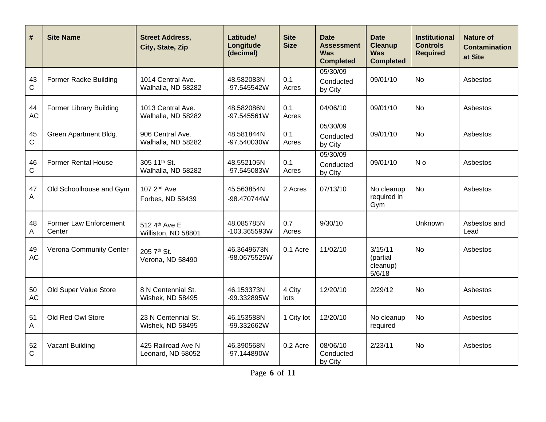| #                 | <b>Site Name</b>                 | <b>Street Address,</b><br>City, State, Zip  | Latitude/<br>Longitude<br>(decimal) | <b>Site</b><br><b>Size</b> | <b>Date</b><br><b>Assessment</b><br><b>Was</b><br><b>Completed</b> | <b>Date</b><br><b>Cleanup</b><br><b>Was</b><br><b>Completed</b> | <b>Institutional</b><br><b>Controls</b><br><b>Required</b> | Nature of<br><b>Contamination</b><br>at Site |
|-------------------|----------------------------------|---------------------------------------------|-------------------------------------|----------------------------|--------------------------------------------------------------------|-----------------------------------------------------------------|------------------------------------------------------------|----------------------------------------------|
| 43<br>$\mathsf C$ | Former Radke Building            | 1014 Central Ave.<br>Walhalla, ND 58282     | 48.582083N<br>-97.545542W           | 0.1<br>Acres               | 05/30/09<br>Conducted<br>by City                                   | 09/01/10                                                        | <b>No</b>                                                  | Asbestos                                     |
| 44<br><b>AC</b>   | <b>Former Library Building</b>   | 1013 Central Ave.<br>Walhalla, ND 58282     | 48.582086N<br>-97.545561W           | 0.1<br>Acres               | 04/06/10                                                           | 09/01/10                                                        | <b>No</b>                                                  | Asbestos                                     |
| 45<br>$\mathsf C$ | Green Apartment Bldg.            | 906 Central Ave.<br>Walhalla, ND 58282      | 48.581844N<br>-97.540030W           | 0.1<br>Acres               | 05/30/09<br>Conducted<br>by City                                   | 09/01/10                                                        | <b>No</b>                                                  | Asbestos                                     |
| 46<br>C           | <b>Former Rental House</b>       | 305 11th St.<br>Walhalla, ND 58282          | 48.552105N<br>-97.545083W           | 0.1<br>Acres               | 05/30/09<br>Conducted<br>by City                                   | 09/01/10                                                        | N o                                                        | Asbestos                                     |
| 47<br>A           | Old Schoolhouse and Gym          | 107 2 <sup>nd</sup> Ave<br>Forbes, ND 58439 | 45.563854N<br>-98.470744W           | 2 Acres                    | 07/13/10                                                           | No cleanup<br>required in<br>Gym                                | <b>No</b>                                                  | Asbestos                                     |
| 48<br>Α           | Former Law Enforcement<br>Center | 512 4th Ave E<br>Williston, ND 58801        | 48.085785N<br>-103.365593W          | 0.7<br>Acres               | 9/30/10                                                            |                                                                 | Unknown                                                    | Asbestos and<br>Lead                         |
| 49<br><b>AC</b>   | Verona Community Center          | 205 7th St.<br>Verona, ND 58490             | 46.3649673N<br>-98.0675525W         | 0.1 Acre                   | 11/02/10                                                           | 3/15/11<br>(partial<br>cleanup)<br>5/6/18                       | <b>No</b>                                                  | Asbestos                                     |
| 50<br><b>AC</b>   | Old Super Value Store            | 8 N Centennial St.<br>Wishek, ND 58495      | 46.153373N<br>-99.332895W           | 4 City<br>lots             | 12/20/10                                                           | 2/29/12                                                         | <b>No</b>                                                  | Asbestos                                     |
| 51<br>A           | Old Red Owl Store                | 23 N Centennial St.<br>Wishek, ND 58495     | 46.153588N<br>-99.332662W           | 1 City lot                 | 12/20/10                                                           | No cleanup<br>required                                          | <b>No</b>                                                  | Asbestos                                     |
| 52<br>C           | Vacant Building                  | 425 Railroad Ave N<br>Leonard, ND 58052     | 46.390568N<br>-97.144890W           | 0.2 Acre                   | 08/06/10<br>Conducted<br>by City                                   | 2/23/11                                                         | <b>No</b>                                                  | Asbestos                                     |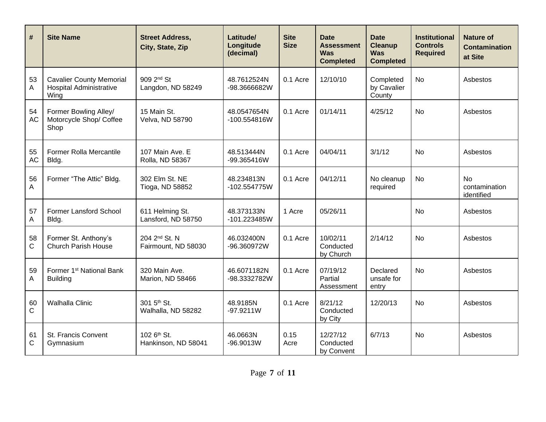| #               | <b>Site Name</b>                                                          | <b>Street Address,</b><br>City, State, Zip       | Latitude/<br>Longitude<br>(decimal) | <b>Site</b><br><b>Size</b> | Date<br>Assessment<br><b>Was</b><br><b>Completed</b> | <b>Date</b><br><b>Cleanup</b><br><b>Was</b><br><b>Completed</b> | <b>Institutional</b><br><b>Controls</b><br><b>Required</b> | <b>Nature of</b><br><b>Contamination</b><br>at Site |
|-----------------|---------------------------------------------------------------------------|--------------------------------------------------|-------------------------------------|----------------------------|------------------------------------------------------|-----------------------------------------------------------------|------------------------------------------------------------|-----------------------------------------------------|
| 53<br>A         | <b>Cavalier County Memorial</b><br><b>Hospital Administrative</b><br>Wing | 909 2 <sup>nd</sup> St<br>Langdon, ND 58249      | 48.7612524N<br>-98.3666682W         | 0.1 Acre                   | 12/10/10                                             | Completed<br>by Cavalier<br>County                              | <b>No</b>                                                  | Asbestos                                            |
| 54<br><b>AC</b> | Former Bowling Alley/<br>Motorcycle Shop/ Coffee<br>Shop                  | 15 Main St.<br>Velva, ND 58790                   | 48.0547654N<br>-100.554816W         | 0.1 Acre                   | 01/14/11                                             | 4/25/12                                                         | <b>No</b>                                                  | Asbestos                                            |
| 55<br><b>AC</b> | <b>Former Rolla Mercantile</b><br>Bldg.                                   | 107 Main Ave. E<br>Rolla, ND 58367               | 48.513444N<br>-99.365416W           | 0.1 Acre                   | 04/04/11                                             | 3/1/12                                                          | <b>No</b>                                                  | Asbestos                                            |
| 56<br>A         | Former "The Attic" Bldg.                                                  | 302 Elm St. NE<br>Tioga, ND 58852                | 48.234813N<br>-102.554775W          | 0.1 Acre                   | 04/12/11                                             | No cleanup<br>required                                          | <b>No</b>                                                  | <b>No</b><br>contamination<br>identified            |
| 57<br>Α         | Former Lansford School<br>Bldg.                                           | 611 Helming St.<br>Lansford, ND 58750            | 48.373133N<br>$-101.223485W$        | 1 Acre                     | 05/26/11                                             |                                                                 | <b>No</b>                                                  | Asbestos                                            |
| 58<br>C         | Former St. Anthony's<br><b>Church Parish House</b>                        | 204 2 <sup>nd</sup> St. N<br>Fairmount, ND 58030 | 46.032400N<br>-96.360972W           | 0.1 Acre                   | 10/02/11<br>Conducted<br>by Church                   | 2/14/12                                                         | <b>No</b>                                                  | Asbestos                                            |
| 59<br>Α         | Former 1 <sup>st</sup> National Bank<br><b>Building</b>                   | 320 Main Ave.<br>Marion, ND 58466                | 46.6071182N<br>-98.3332782W         | 0.1 Acre                   | 07/19/12<br>Partial<br>Assessment                    | Declared<br>unsafe for<br>entry                                 | <b>No</b>                                                  | Asbestos                                            |
| 60<br>C         | <b>Walhalla Clinic</b>                                                    | 301 5 <sup>th</sup> St.<br>Walhalla, ND 58282    | 48.9185N<br>$-97.9211W$             | 0.1 Acre                   | 8/21/12<br>Conducted<br>by City                      | 12/20/13                                                        | <b>No</b>                                                  | Asbestos                                            |
| 61<br>C         | St. Francis Convent<br>Gymnasium                                          | 102 6 <sup>th</sup> St.<br>Hankinson, ND 58041   | 46.0663N<br>$-96.9013W$             | 0.15<br>Acre               | 12/27/12<br>Conducted<br>by Convent                  | 6/7/13                                                          | <b>No</b>                                                  | Asbestos                                            |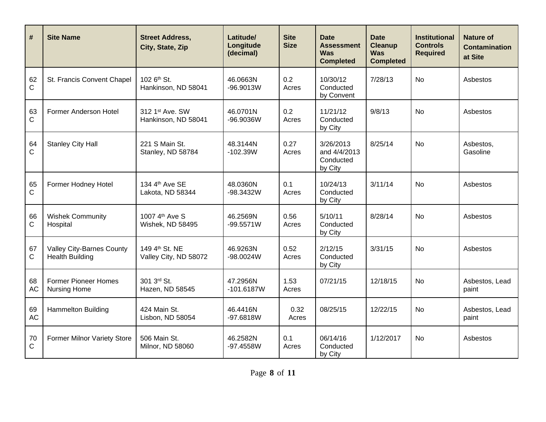| #                 | <b>Site Name</b>                                           | <b>Street Address,</b><br>City, State, Zip          | Latitude/<br>Longitude<br>(decimal) | <b>Site</b><br><b>Size</b> | <b>Date</b><br><b>Assessment</b><br><b>Was</b><br><b>Completed</b> | <b>Date</b><br><b>Cleanup</b><br><b>Was</b><br><b>Completed</b> | <b>Institutional</b><br><b>Controls</b><br><b>Required</b> | <b>Nature of</b><br><b>Contamination</b><br>at Site |
|-------------------|------------------------------------------------------------|-----------------------------------------------------|-------------------------------------|----------------------------|--------------------------------------------------------------------|-----------------------------------------------------------------|------------------------------------------------------------|-----------------------------------------------------|
| 62<br>$\mathsf C$ | St. Francis Convent Chapel                                 | 102 6 <sup>th</sup> St.<br>Hankinson, ND 58041      | 46.0663N<br>$-96.9013W$             | 0.2<br>Acres               | 10/30/12<br>Conducted<br>by Convent                                | 7/28/13                                                         | <b>No</b>                                                  | Asbestos                                            |
| 63<br>C           | Former Anderson Hotel                                      | 312 1st Ave, SW<br>Hankinson, ND 58041              | 46.0701N<br>$-96.9036W$             | 0.2<br>Acres               | 11/21/12<br>Conducted<br>by City                                   | 9/8/13                                                          | <b>No</b>                                                  | Asbestos                                            |
| 64<br>C           | <b>Stanley City Hall</b>                                   | 221 S Main St.<br>Stanley, ND 58784                 | 48.3144N<br>$-102.39W$              | 0.27<br>Acres              | 3/26/2013<br>and 4/4/2013<br>Conducted<br>by City                  | 8/25/14                                                         | No                                                         | Asbestos,<br>Gasoline                               |
| 65<br>C           | Former Hodney Hotel                                        | 134 4th Ave SE<br>Lakota, ND 58344                  | 48.0360N<br>-98.3432W               | 0.1<br>Acres               | 10/24/13<br>Conducted<br>by City                                   | 3/11/14                                                         | <b>No</b>                                                  | Asbestos                                            |
| 66<br>C           | <b>Wishek Community</b><br>Hospital                        | 1007 4th Ave S<br>Wishek, ND 58495                  | 46.2569N<br>$-99.5571W$             | 0.56<br>Acres              | 5/10/11<br>Conducted<br>by City                                    | 8/28/14                                                         | <b>No</b>                                                  | Asbestos                                            |
| 67<br>С           | <b>Valley City-Barnes County</b><br><b>Health Building</b> | 149 4 <sup>th</sup> St. NE<br>Valley City, ND 58072 | 46.9263N<br>-98.0024W               | 0.52<br>Acres              | 2/12/15<br>Conducted<br>by City                                    | 3/31/15                                                         | <b>No</b>                                                  | Asbestos                                            |
| 68<br><b>AC</b>   | <b>Former Pioneer Homes</b><br>Nursing Home                | 301 3rd St.<br>Hazen, ND 58545                      | 47.2956N<br>$-101.6187W$            | 1.53<br>Acres              | 07/21/15                                                           | 12/18/15                                                        | <b>No</b>                                                  | Asbestos, Lead<br>paint                             |
| 69<br><b>AC</b>   | <b>Hammelton Building</b>                                  | 424 Main St.<br>Lisbon, ND 58054                    | 46.4416N<br>$-97.6818W$             | 0.32<br>Acres              | 08/25/15                                                           | 12/22/15                                                        | <b>No</b>                                                  | Asbestos, Lead<br>paint                             |
| 70<br>$\mathsf C$ | <b>Former Milnor Variety Store</b>                         | 506 Main St.<br>Milnor, ND 58060                    | 46.2582N<br>$-97.4558W$             | 0.1<br>Acres               | 06/14/16<br>Conducted<br>by City                                   | 1/12/2017                                                       | <b>No</b>                                                  | Asbestos                                            |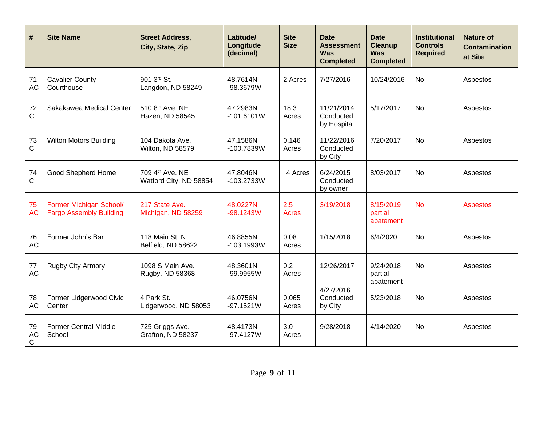| $\#$                 | <b>Site Name</b>                                          | <b>Street Address,</b><br>City, State, Zip | Latitude/<br>Longitude<br>(decimal) | <b>Site</b><br><b>Size</b> | <b>Date</b><br><b>Assessment</b><br><b>Was</b><br><b>Completed</b> | <b>Date</b><br><b>Cleanup</b><br><b>Was</b><br><b>Completed</b> | <b>Institutional</b><br><b>Controls</b><br><b>Required</b> | <b>Nature of</b><br><b>Contamination</b><br>at Site |
|----------------------|-----------------------------------------------------------|--------------------------------------------|-------------------------------------|----------------------------|--------------------------------------------------------------------|-----------------------------------------------------------------|------------------------------------------------------------|-----------------------------------------------------|
| 71<br><b>AC</b>      | <b>Cavalier County</b><br>Courthouse                      | 901 3rd St.<br>Langdon, ND 58249           | 48.7614N<br>-98.3679W               | 2 Acres                    | 7/27/2016                                                          | 10/24/2016                                                      | <b>No</b>                                                  | Asbestos                                            |
| 72<br>C              | Sakakawea Medical Center                                  | 510 8th Ave. NE<br>Hazen, ND 58545         | 47.2983N<br>$-101.6101W$            | 18.3<br>Acres              | 11/21/2014<br>Conducted<br>by Hospital                             | 5/17/2017                                                       | <b>No</b>                                                  | Asbestos                                            |
| 73<br>C              | <b>Wilton Motors Building</b>                             | 104 Dakota Ave.<br>Wilton, ND 58579        | 47.1586N<br>$-100.7839W$            | 0.146<br>Acres             | 11/22/2016<br>Conducted<br>by City                                 | 7/20/2017                                                       | <b>No</b>                                                  | Asbestos                                            |
| 74<br>$\mathbf C$    | Good Shepherd Home                                        | 709 4th Ave, NE<br>Watford City, ND 58854  | 47.8046N<br>$-103.2733W$            | 4 Acres                    | 6/24/2015<br>Conducted<br>by owner                                 | 8/03/2017                                                       | <b>No</b>                                                  | Asbestos                                            |
| 75<br><b>AC</b>      | Former Michigan School/<br><b>Fargo Assembly Building</b> | 217 State Ave.<br>Michigan, ND 58259       | 48.0227N<br>$-98.1243W$             | 2.5<br><b>Acres</b>        | 3/19/2018                                                          | 8/15/2019<br>partial<br>abatement                               | <b>No</b>                                                  | <b>Asbestos</b>                                     |
| 76<br>AC             | Former John's Bar                                         | 118 Main St. N<br>Belfield, ND 58622       | 46.8855N<br>$-103.1993W$            | 0.08<br>Acres              | 1/15/2018                                                          | 6/4/2020                                                        | <b>No</b>                                                  | Asbestos                                            |
| 77<br><b>AC</b>      | Rugby City Armory                                         | 1098 S Main Ave.<br>Rugby, ND 58368        | 48.3601N<br>-99.9955W               | 0.2<br>Acres               | 12/26/2017                                                         | 9/24/2018<br>partial<br>abatement                               | <b>No</b>                                                  | Asbestos                                            |
| 78<br><b>AC</b>      | Former Lidgerwood Civic<br>Center                         | 4 Park St.<br>Lidgerwood, ND 58053         | 46.0756N<br>$-97.1521W$             | 0.065<br>Acres             | 4/27/2016<br>Conducted<br>by City                                  | 5/23/2018                                                       | <b>No</b>                                                  | Asbestos                                            |
| 79<br><b>AC</b><br>C | <b>Former Central Middle</b><br>School                    | 725 Griggs Ave.<br>Grafton, ND 58237       | 48.4173N<br>$-97.4127W$             | 3.0<br>Acres               | 9/28/2018                                                          | 4/14/2020                                                       | <b>No</b>                                                  | Asbestos                                            |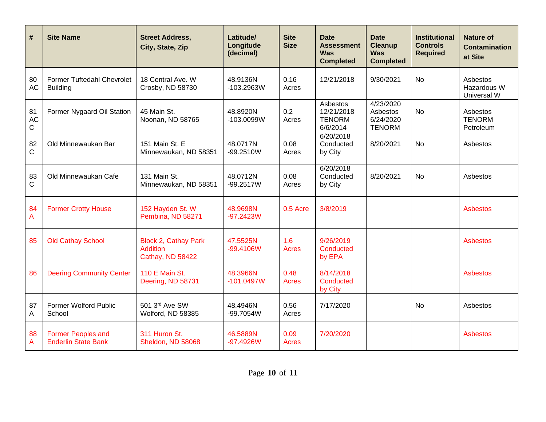| #                              | <b>Site Name</b>                                        | <b>Street Address,</b><br>City, State, Zip                         | Latitude/<br>Longitude<br>(decimal) | <b>Site</b><br><b>Size</b> | Date<br><b>Assessment</b><br><b>Was</b><br><b>Completed</b> | <b>Date</b><br><b>Cleanup</b><br><b>Was</b><br><b>Completed</b> | <b>Institutional</b><br><b>Controls</b><br><b>Required</b> | <b>Nature of</b><br><b>Contamination</b><br>at Site |
|--------------------------------|---------------------------------------------------------|--------------------------------------------------------------------|-------------------------------------|----------------------------|-------------------------------------------------------------|-----------------------------------------------------------------|------------------------------------------------------------|-----------------------------------------------------|
| 80<br><b>AC</b>                | Former Tuftedahl Chevrolet<br><b>Building</b>           | 18 Central Ave. W<br>Crosby, ND 58730                              | 48.9136N<br>$-103.2963W$            | 0.16<br>Acres              | 12/21/2018                                                  | 9/30/2021                                                       | <b>No</b>                                                  | Asbestos<br>Hazardous W<br>Universal W              |
| 81<br><b>AC</b><br>$\mathsf C$ | Former Nygaard Oil Station                              | 45 Main St.<br>Noonan, ND 58765                                    | 48.8920N<br>$-103.0099W$            | 0.2<br>Acres               | Asbestos<br>12/21/2018<br><b>TENORM</b><br>6/6/2014         | 4/23/2020<br>Asbestos<br>6/24/2020<br><b>TENORM</b>             | <b>No</b>                                                  | Asbestos<br><b>TENORM</b><br>Petroleum              |
| 82<br>$\mathsf C$              | Old Minnewaukan Bar                                     | 151 Main St. E<br>Minnewaukan, ND 58351                            | 48.0717N<br>$-99.2510W$             | 0.08<br>Acres              | 6/20/2018<br>Conducted<br>by City                           | 8/20/2021                                                       | <b>No</b>                                                  | Asbestos                                            |
| 83<br>$\mathsf C$              | Old Minnewaukan Cafe                                    | 131 Main St.<br>Minnewaukan, ND 58351                              | 48.0712N<br>$-99.2517W$             | 0.08<br>Acres              | 6/20/2018<br>Conducted<br>by City                           | 8/20/2021                                                       | <b>No</b>                                                  | Asbestos                                            |
| 84<br>A                        | <b>Former Crotty House</b>                              | 152 Hayden St. W<br>Pembina, ND 58271                              | 48.9698N<br>$-97.2423W$             | 0.5 Acre                   | 3/8/2019                                                    |                                                                 |                                                            | <b>Asbestos</b>                                     |
| 85                             | <b>Old Cathay School</b>                                | <b>Block 2, Cathay Park</b><br><b>Addition</b><br>Cathay, ND 58422 | 47.5525N<br>$-99.4106W$             | 1.6<br><b>Acres</b>        | 9/26/2019<br>Conducted<br>by EPA                            |                                                                 |                                                            | <b>Asbestos</b>                                     |
| 86                             | <b>Deering Community Center</b>                         | 110 E Main St.<br>Deering, ND 58731                                | 48.3966N<br>$-101.0497W$            | 0.48<br>Acres              | 8/14/2018<br>Conducted<br>by City                           |                                                                 |                                                            | <b>Asbestos</b>                                     |
| 87<br>A                        | Former Wolford Public<br>School                         | 501 3rd Ave SW<br>Wolford, ND 58385                                | 48.4946N<br>-99.7054W               | 0.56<br>Acres              | 7/17/2020                                                   |                                                                 | <b>No</b>                                                  | Asbestos                                            |
| 88<br>A                        | <b>Former Peoples and</b><br><b>Enderlin State Bank</b> | 311 Huron St.<br>Sheldon, ND 58068                                 | 46.5889N<br>$-97.4926W$             | 0.09<br>Acres              | 7/20/2020                                                   |                                                                 |                                                            | <b>Asbestos</b>                                     |